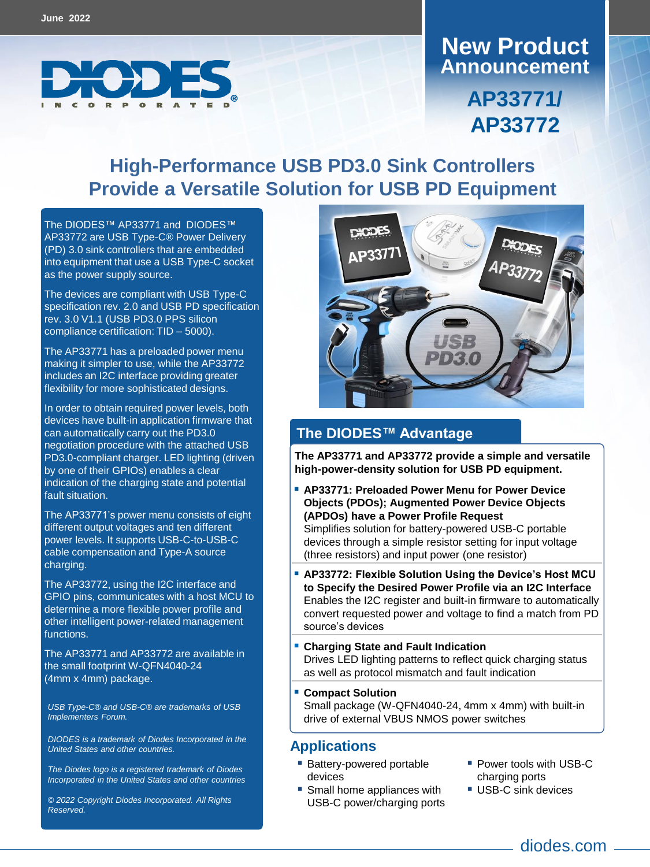

## **Announcement New Product**

**AP33771/ AP33772**

### **High-Performance USB PD3.0 Sink Controllers Provide a Versatile Solution for USB PD Equipment**

The DIODES™ [AP33771](https://www.diodes.com/part/AP33771) and [DIODES](https://www.diodes.com/part/AP33771)™ AP33772 are USB Type-C® Power Delivery (PD) 3.0 sink controllers that are embedded into equipment that use a USB Type-C socket as the power supply source.

The devices are compliant with USB Type-C specification rev. 2.0 and USB PD specification rev. 3.0 V1.1 (USB PD3.0 PPS silicon compliance certification: TID – 5000).

The AP33771 has a preloaded power menu making it simpler to use, while the AP33772 includes an I2C interface providing greater flexibility for more sophisticated designs.

In order to obtain required power levels, both devices have built-in application firmware that can automatically carry out the PD3.0 negotiation procedure with the attached USB PD3.0-compliant charger. LED lighting (driven by one of their GPIOs) enables a clear indication of the charging state and potential fault situation.

The AP33771's power menu consists of eight different output voltages and ten different power levels. It supports USB-C-to-USB-C cable compensation and Type-A source charging.

The AP33772, using the I2C interface and GPIO pins, communicates with a host MCU to determine a more flexible power profile and other intelligent power-related management functions.

The AP33771 and AP33772 are available in the small footprint W-QFN4040-24 (4mm x 4mm) package.

*USB Type-C® and USB-C® are trademarks of USB Implementers Forum.*

*DIODES is a trademark of Diodes Incorporated in the United States and other countries.*

*The Diodes logo is a registered trademark of Diodes Incorporated in the United States and other countries*

*© 2022 Copyright Diodes Incorporated. All Rights Reserved.*



#### **The DIODES™ Advantage**

**The AP33771 and AP33772 provide a simple and versatile high-power-density solution for USB PD equipment.**

- **AP33771: Preloaded Power Menu for Power Device Objects (PDOs); Augmented Power Device Objects (APDOs) have a Power Profile Request** Simplifies solution for battery-powered USB-C portable devices through a simple resistor setting for input voltage (three resistors) and input power (one resistor)
- **AP33772: Flexible Solution Using the Device's Host MCU to Specify the Desired Power Profile via an I2C Interface** Enables the I2C register and built-in firmware to automatically convert requested power and voltage to find a match from PD source's devices
- **Charging State and Fault Indication** Drives LED lighting patterns to reflect quick charging status as well as protocol mismatch and fault indication
- **Compact Solution** Small package (W-QFN4040-24, 4mm x 4mm) with built-in drive of external VBUS NMOS power switches

#### **Applications**

- **Battery-powered portable** devices
- Small home appliances with USB-C power/charging ports
- **Power tools with USB-C** charging ports
- **USB-C sink devices**